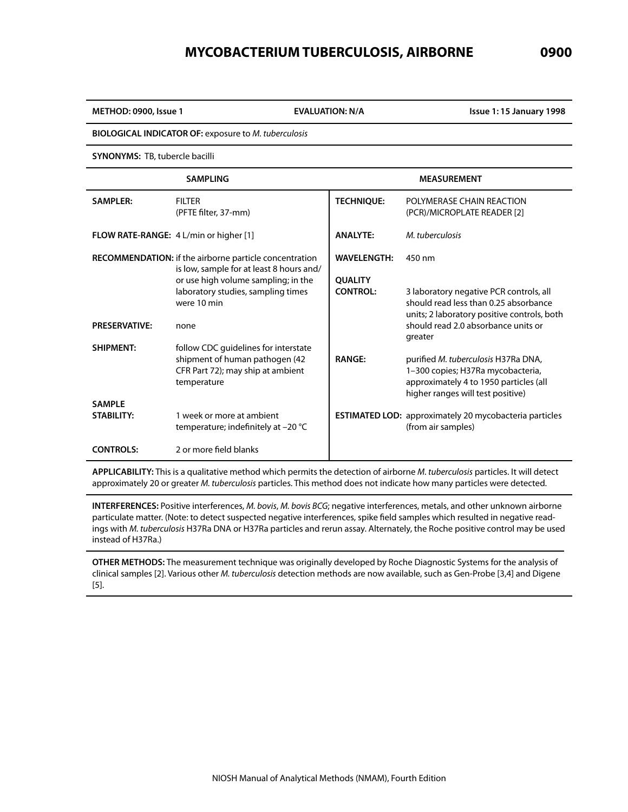# **MYCOBACTERIUM TUBERCULOSIS, AIRBORNE 0900**

**METHOD: 0900, Issue 1 EVALUATION: N/A Issue 1: 15 January 1998**

**BIOLOGICAL INDICATOR OF:** exposure to *M. tuberculosis*

**SYNONYMS:** TB, tubercle bacilli

|                                    | <b>SAMPLING</b>                                                                                                            |                                   | <b>MEASUREMENT</b>                                                                                                                                      |
|------------------------------------|----------------------------------------------------------------------------------------------------------------------------|-----------------------------------|---------------------------------------------------------------------------------------------------------------------------------------------------------|
| <b>SAMPLER:</b>                    | <b>FILTER</b><br>(PFTE filter, 37-mm)                                                                                      | <b>TECHNIQUE:</b>                 | POLYMERASE CHAIN REACTION<br>(PCR)/MICROPLATE READER [2]                                                                                                |
|                                    | <b>FLOW RATE-RANGE:</b> 4 L/min or higher [1]                                                                              | <b>ANALYTE:</b>                   | M. tuberculosis                                                                                                                                         |
|                                    | <b>RECOMMENDATION:</b> if the airborne particle concentration<br>is low, sample for at least 8 hours and/                  | <b>WAVELENGTH:</b>                | 450 nm                                                                                                                                                  |
|                                    | or use high volume sampling; in the<br>laboratory studies, sampling times<br>were 10 min                                   | <b>OUALITY</b><br><b>CONTROL:</b> | 3 laboratory negative PCR controls, all<br>should read less than 0.25 absorbance<br>units; 2 laboratory positive controls, both                         |
| <b>PRESERVATIVE:</b>               | none                                                                                                                       |                                   | should read 2.0 absorbance units or<br>greater                                                                                                          |
| <b>SHIPMENT:</b>                   | follow CDC quidelines for interstate<br>shipment of human pathogen (42<br>CFR Part 72); may ship at ambient<br>temperature | <b>RANGE:</b>                     | purified M. tuberculosis H37Ra DNA,<br>1-300 copies; H37Ra mycobacteria,<br>approximately 4 to 1950 particles (all<br>higher ranges will test positive) |
| <b>SAMPIF</b><br><b>STABILITY:</b> | 1 week or more at ambient<br>temperature; indefinitely at $-20$ °C                                                         |                                   | <b>ESTIMATED LOD:</b> approximately 20 mycobacteria particles<br>(from air samples)                                                                     |
| <b>CONTROLS:</b>                   | 2 or more field blanks                                                                                                     |                                   |                                                                                                                                                         |

**APPLICABILITY:** This is a qualitative method which permits the detection of airborne *M. tuberculosis* particles. It will detect approximately 20 or greater *M. tuberculosis* particles. This method does not indicate how many particles were detected.

**INTERFERENCES:** Positive interferences, *M. bovis*, *M. bovis BCG*; negative interferences, metals, and other unknown airborne particulate matter. (Note: to detect suspected negative interferences, spike field samples which resulted in negative readings with *M. tuberculosis* H37Ra DNA or H37Ra particles and rerun assay. Alternately, the Roche positive control may be used instead of H37Ra.)

**OTHER METHODS:** The measurement technique was originally developed by Roche Diagnostic Systems for the analysis of clinical samples [2]. Various other *M. tuberculosis* detection methods are now available, such as Gen-Probe [3,4] and Digene [5].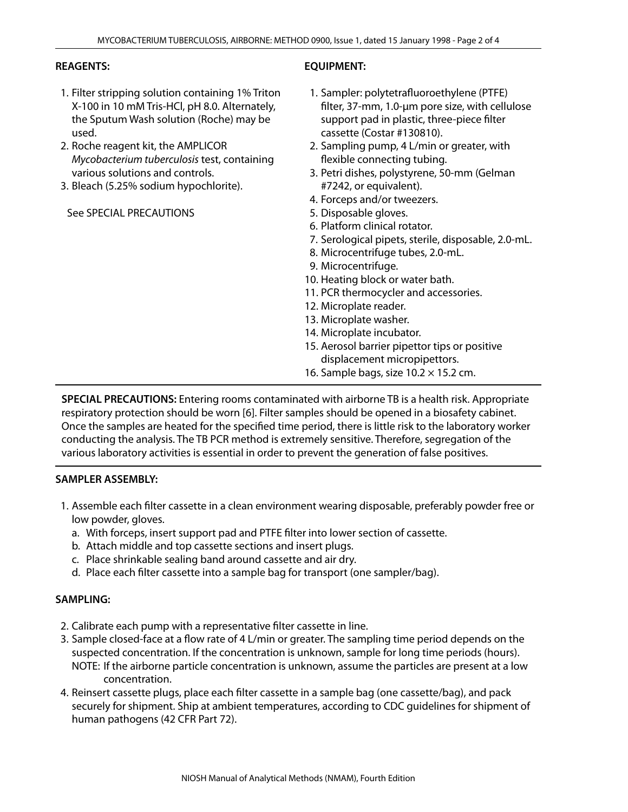## **REAGENTS:**

- 1. Filter stripping solution containing 1% Triton X-100 in 10 mM Tris-HCl, pH 8.0. Alternately, the Sputum Wash solution (Roche) may be used.
- 2. Roche reagent kit, the AMPLICOR *Mycobacterium tuberculosis* test, containing various solutions and controls.
- 3. Bleach (5.25% sodium hypochlorite).

See SPECIAL PRECAUTIONS

## **EQUIPMENT:**

- 1. Sampler: polytetrafluoroethylene (PTFE) filter, 37-mm, 1.0-µm pore size, with cellulose support pad in plastic, three-piece filter cassette (Costar #130810).
- 2. Sampling pump, 4 L/min or greater, with flexible connecting tubing.
- 3. Petri dishes, polystyrene, 50-mm (Gelman #7242, or equivalent).
- 4. Forceps and/or tweezers.
- 5. Disposable gloves.
- 6. Platform clinical rotator.
- 7. Serological pipets, sterile, disposable, 2.0-mL.
- 8. Microcentrifuge tubes, 2.0-mL.
- 9. Microcentrifuge.
- 10. Heating block or water bath.
- 11. PCR thermocycler and accessories.
- 12. Microplate reader.
- 13. Microplate washer.
- 14. Microplate incubator.
- 15. Aerosol barrier pipettor tips or positive displacement micropipettors.
- 16. Sample bags, size  $10.2 \times 15.2$  cm.

**SPECIAL PRECAUTIONS:** Entering rooms contaminated with airborne TB is a health risk. Appropriate respiratory protection should be worn [6]. Filter samples should be opened in a biosafety cabinet. Once the samples are heated for the specified time period, there is little risk to the laboratory worker conducting the analysis. The TB PCR method is extremely sensitive. Therefore, segregation of the various laboratory activities is essential in order to prevent the generation of false positives.

## **SAMPLER ASSEMBLY:**

- 1. Assemble each filter cassette in a clean environment wearing disposable, preferably powder free or low powder, gloves.
	- a. With forceps, insert support pad and PTFE filter into lower section of cassette.
	- b. Attach middle and top cassette sections and insert plugs.
	- c. Place shrinkable sealing band around cassette and air dry.
	- d. Place each filter cassette into a sample bag for transport (one sampler/bag).

## **SAMPLING:**

- 2. Calibrate each pump with a representative filter cassette in line.
- 3. Sample closed-face at a flow rate of 4 L/min or greater. The sampling time period depends on the suspected concentration. If the concentration is unknown, sample for long time periods (hours). NOTE: If the airborne particle concentration is unknown, assume the particles are present at a low concentration.
- 4. Reinsert cassette plugs, place each filter cassette in a sample bag (one cassette/bag), and pack securely for shipment. Ship at ambient temperatures, according to CDC guidelines for shipment of human pathogens (42 CFR Part 72).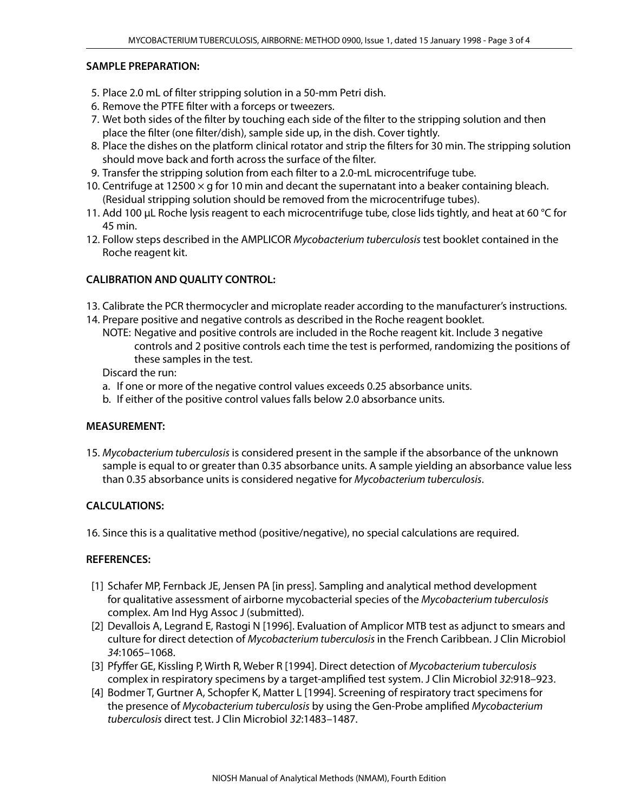## **SAMPLE PREPARATION:**

- 5. Place 2.0 mL of filter stripping solution in a 50-mm Petri dish.
- 6. Remove the PTFE filter with a forceps or tweezers.
- 7. Wet both sides of the filter by touching each side of the filter to the stripping solution and then place the filter (one filter/dish), sample side up, in the dish. Cover tightly.
- 8. Place the dishes on the platform clinical rotator and strip the filters for 30 min. The stripping solution should move back and forth across the surface of the filter.
- 9. Transfer the stripping solution from each filter to a 2.0-mL microcentrifuge tube.
- 10. Centrifuge at 12500  $\times$  g for 10 min and decant the supernatant into a beaker containing bleach. (Residual stripping solution should be removed from the microcentrifuge tubes).
- 11. Add 100 µL Roche lysis reagent to each microcentrifuge tube, close lids tightly, and heat at 60 °C for 45 min.
- 12. Follow steps described in the AMPLICOR *Mycobacterium tuberculosis* test booklet contained in the Roche reagent kit.

## **CALIBRATION AND QUALITY CONTROL:**

- 13. Calibrate the PCR thermocycler and microplate reader according to the manufacturer's instructions.
- 14. Prepare positive and negative controls as described in the Roche reagent booklet.
	- NOTE: Negative and positive controls are included in the Roche reagent kit. Include 3 negative controls and 2 positive controls each time the test is performed, randomizing the positions of these samples in the test.

Discard the run:

- a. If one or more of the negative control values exceeds 0.25 absorbance units.
- b. If either of the positive control values falls below 2.0 absorbance units.

## **MEASUREMENT:**

15. *Mycobacterium tuberculosis* is considered present in the sample if the absorbance of the unknown sample is equal to or greater than 0.35 absorbance units. A sample yielding an absorbance value less than 0.35 absorbance units is considered negative for *Mycobacterium tuberculosis*.

## **CALCULATIONS:**

16. Since this is a qualitative method (positive/negative), no special calculations are required.

## **REFERENCES:**

- [1] Schafer MP, Fernback JE, Jensen PA [in press]. Sampling and analytical method development for qualitative assessment of airborne mycobacterial species of the *Mycobacterium tuberculosis* complex. Am Ind Hyg Assoc J (submitted).
- [2] Devallois A, Legrand E, Rastogi N [1996]. Evaluation of Amplicor MTB test as adjunct to smears and culture for direct detection of *Mycobacterium tuberculosis* in the French Caribbean. J Clin Microbiol *34*:1065–1068.
- [3] Pfyffer GE, Kissling P, Wirth R, Weber R [1994]. Direct detection of *Mycobacterium tuberculosis* complex in respiratory specimens by a target-amplified test system. J Clin Microbiol *32*:918–923.
- [4] Bodmer T, Gurtner A, Schopfer K, Matter L [1994]. Screening of respiratory tract specimens for the presence of *Mycobacterium tuberculosis* by using the Gen-Probe amplified *Mycobacterium tuberculosis* direct test. J Clin Microbiol *32*:1483–1487.